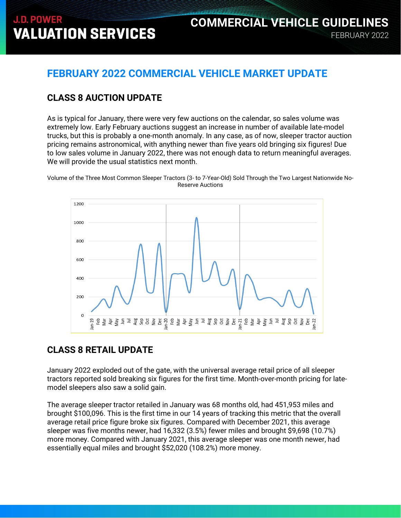#### **FEBRUARY 2022 COMMERCIAL VEHICLE MARKET UPDATE**

#### **CLASS 8 AUCTION UPDATE**

As is typical for January, there were very few auctions on the calendar, so sales volume was extremely low. Early February auctions suggest an increase in number of available late-model trucks, but this is probably a one-month anomaly. In any case, as of now, sleeper tractor auction pricing remains astronomical, with anything newer than five years old bringing six figures! Due to low sales volume in January 2022, there was not enough data to return meaningful averages. We will provide the usual statistics next month.

Volume of the Three Most Common Sleeper Tractors (3- to 7-Year-Old) Sold Through the Two Largest Nationwide No-Reserve Auctions



#### **CLASS 8 RETAIL UPDATE**

January 2022 exploded out of the gate, with the universal average retail price of all sleeper tractors reported sold breaking six figures for the first time. Month-over-month pricing for latemodel sleepers also saw a solid gain.

The average sleeper tractor retailed in January was 68 months old, had 451,953 miles and brought \$100,096. This is the first time in our 14 years of tracking this metric that the overall average retail price figure broke six figures. Compared with December 2021, this average sleeper was five months newer, had 16,332 (3.5%) fewer miles and brought \$9,698 (10.7%) more money. Compared with January 2021, this average sleeper was one month newer, had essentially equal miles and brought \$52,020 (108.2%) more money.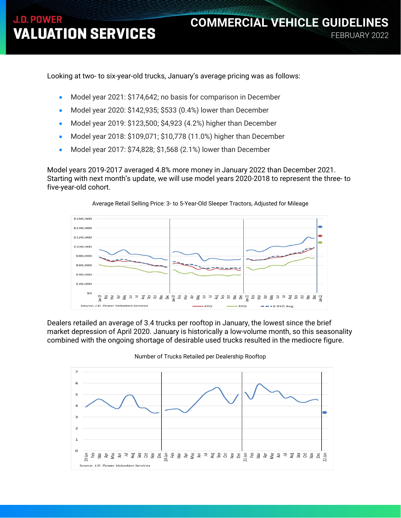Looking at two- to six-year-old trucks, January's average pricing was as follows:

- Model year 2021: \$174,642; no basis for comparison in December
- Model year 2020: \$142,935; \$533 (0.4%) lower than December
- Model year 2019: \$123,500; \$4,923 (4.2%) higher than December
- Model year 2018: \$109,071; \$10,778 (11.0%) higher than December
- Model year 2017: \$74,828; \$1,568 (2.1%) lower than December

Model years 2019-2017 averaged 4.8% more money in January 2022 than December 2021. Starting with next month's update, we will use model years 2020-2018 to represent the three- to five-year-old cohort.



Average Retail Selling Price: 3- to 5-Year-Old Sleeper Tractors, Adjusted for Mileage

Dealers retailed an average of 3.4 trucks per rooftop in January, the lowest since the brief market depression of April 2020. January is historically a low-volume month, so this seasonality combined with the ongoing shortage of desirable used trucks resulted in the mediocre figure.

Number of Trucks Retailed per Dealership Rooftop

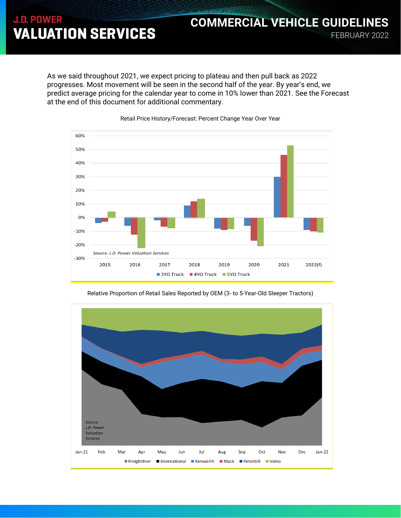As we said throughout 2021, we expect pricing to plateau and then pull back as 2022 progresses. Most movement will be seen in the second half of the year. By year's end, we predict average pricing for the calendar year to come in 10% lower than 2021. See the Forecast at the end of this document for additional commentary.

FEBRUARY 2022

**COMMERCIAL VEHICLE GUIDELINES**





Relative Proportion of Retail Sales Reported by OEM (3- to 5-Year-Old Sleeper Tractors)

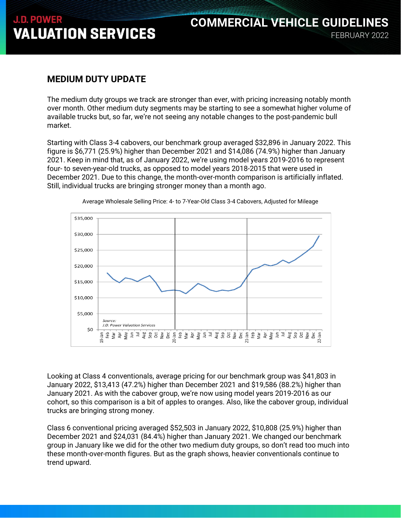#### **MEDIUM DUTY UPDATE**

The medium duty groups we track are stronger than ever, with pricing increasing notably month over month. Other medium duty segments may be starting to see a somewhat higher volume of available trucks but, so far, we're not seeing any notable changes to the post-pandemic bull market.

Starting with Class 3-4 cabovers, our benchmark group averaged \$32,896 in January 2022. This figure is \$6,771 (25.9%) higher than December 2021 and \$14,086 (74.9%) higher than January 2021. Keep in mind that, as of January 2022, we're using model years 2019-2016 to represent four- to seven-year-old trucks, as opposed to model years 2018-2015 that were used in December 2021. Due to this change, the month-over-month comparison is artificially inflated. Still, individual trucks are bringing stronger money than a month ago.



Average Wholesale Selling Price: 4- to 7-Year-Old Class 3-4 Cabovers, Adjusted for Mileage

Looking at Class 4 conventionals, average pricing for our benchmark group was \$41,803 in January 2022, \$13,413 (47.2%) higher than December 2021 and \$19,586 (88.2%) higher than January 2021. As with the cabover group, we're now using model years 2019-2016 as our cohort, so this comparison is a bit of apples to oranges. Also, like the cabover group, individual trucks are bringing strong money.

Class 6 conventional pricing averaged \$52,503 in January 2022, \$10,808 (25.9%) higher than December 2021 and \$24,031 (84.4%) higher than January 2021. We changed our benchmark group in January like we did for the other two medium duty groups, so don't read too much into these month-over-month figures. But as the graph shows, heavier conventionals continue to trend upward.